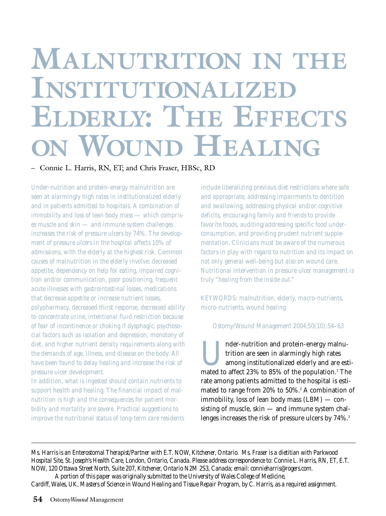# **MALNUTRITION IN THE INSTITUTIONALIZED ELDERLY: THE EFFECTS ON WOUND HEALING**

– Connie L. Harris, RN, ET; and Chris Fraser, HBSc, RD

*Under-nutrition and protein-energy malnutrition are seen at alarmingly high rates in institutionalized elderly and in patients admitted to hospitals. A combination of immobility and loss of lean body mass — which comprises muscle and skin — and immune system challenges increases the risk of pressure ulcers by 74%. The development of pressure ulcers in the hospital affects 10% of admissions, with the elderly at the highest risk. Common causes of malnutrition in the elderly involve: decreased appetite, dependency on help for eating, impaired cognition and/or communication, poor positioning, frequent acute illnesses with gastrointestinal losses, medications that decrease appetite or increase nutrient losses, polypharmacy, decreased thirst response, decreased ability to concentrate urine, intentional fluid restriction because of fear of incontinence or choking if dysphagic, psychosocial factors such as isolation and depression, monotony of diet, and higher nutrient density requirements along with the demands of age, illness, and disease on the body. All have been found to delay healing and increase the risk of pressure ulcer development.*

*In addition, what is ingested should contain nutrients to support health and healing. The financial impact of malnutrition is high and the consequences for patient morbidity and mortality are severe. Practical suggestions to improve the nutritional status of long-term care residents* *include liberalizing previous diet restrictions where safe and appropriate, addressing impairments to dentition and swallowing, addressing physical and/or cognitive deficits, encouraging family and friends to provide favorite foods, auditing/addressing specific food underconsumption, and providing prudent nutrient supplementation. Clinicians must be aware of the numerous factors in play with regard to nutrition and its impact on not only general well-being but also on wound care. Nutritional intervention in pressure ulcer management is truly "healing from the inside out."*

*KEYWORDS: malnutrition, elderly, macro-nutrients, micro-nutrients, wound healing*

#### *Ostomy/Wound Management 2004;50(10):54–63*

I nder-nutrition and protein-energy malnutrition are seen in alarmingly high rates<br>among institutionalized elderly and are est<br>mated to affect 23% to 85% of the population <sup>1</sup> Th trition are seen in alarmingly high rates among institutionalized elderly and are estimated to affect 23% to 85% of the population.<sup>1</sup> The rate among patients admitted to the hospital is estimated to range from  $20\%$  to  $50\%$ .<sup>2</sup> A combination of immobility, loss of lean body mass (LBM) — consisting of muscle, skin — and immune system challenges increases the risk of pressure ulcers by 74%.<sup>3</sup>

*Ms. Harris is an Enterostomal Therapist/Partner with E.T. NOW, Kitchener, Ontario. Ms. Fraser is a dietitian with Parkwood Hospital Site, St. Joseph's Health Care, London, Ontario, Canada. Please address correspondence to: Connie L. Harris, RN, ET, E.T. NOW, 120 Ottawa Street North, Suite 207, Kitchener, Ontario N2M 2S3, Canada; email: connieharris@rogers.com.*

*A portion of this paper was originally submitted to the University of Wales College of Medicine, Cardiff, Wales, UK, Masters of Science in Wound Healing and Tissue Repair Program, by C. Harris, as a required assignment.*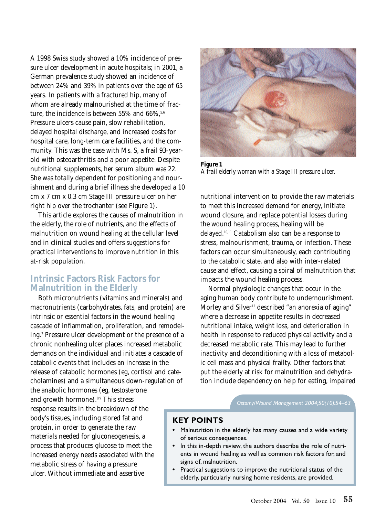A 1998 Swiss study showed a 10% incidence of pressure ulcer development in acute hospitals; in 2001, a German prevalence study showed an incidence of between 24% and 39% in patients over the age of 65 years. In patients with a fractured hip, many of whom are already malnourished at the time of fracture, the incidence is between 55% and  $66\%$ ,  $5.6$ Pressure ulcers cause pain, slow rehabilitation, delayed hospital discharge, and increased costs for hospital care, long-term care facilities, and the community. This was the case with Ms. S, a frail 93-yearold with osteoarthritis and a poor appetite. Despite nutritional supplements, her serum album was 22. She was totally dependent for positioning and nourishment and during a brief illness she developed a 10 cm x 7 cm x 0.3 cm Stage III pressure ulcer on her right hip over the trochanter (see Figure 1).

This article explores the causes of malnutrition in the elderly, the role of nutrients, and the effects of malnutrition on wound healing at the cellular level and in clinical studies and offers suggestions for practical interventions to improve nutrition in this at-risk population.

#### **Intrinsic Factors Risk Factors for Malnutrition in the Elderly**

Both micronutrients (vitamins and minerals) and macronutrients (carbohydrates, fats, and protein) are intrinsic or essential factors in the wound healing cascade of inflammation, proliferation, and remodeling.7 Pressure ulcer development or the presence of a chronic nonhealing ulcer places increased metabolic demands on the individual and initiates a cascade of catabolic events that includes an increase in the release of catabolic hormones (eg, cortisol and catecholamines) and a simultaneous down-regulation of

the anabolic hormones (eg, testosterone and growth hormone).<sup>8,9</sup> This stress response results in the breakdown of the body's tissues, including stored fat and protein, in order to generate the raw materials needed for gluconeogenesis, a process that produces glucose to meet the increased energy needs associated with the metabolic stress of having a pressure ulcer. Without immediate and assertive



*Figure 1 A frail elderly woman with a Stage III pressure ulcer.*

nutritional intervention to provide the raw materials to meet this increased demand for energy, initiate wound closure, and replace potential losses during the wound healing process, healing will be delayed.10,11 Catabolism also can be a response to stress, malnourishment, trauma, or infection. These factors can occur simultaneously, each contributing to the catabolic state, and also with inter-related cause and effect, causing a spiral of malnutrition that impacts the wound healing process.

Normal physiologic changes that occur in the aging human body contribute to undernourishment. Morley and Silver<sup>12</sup> described "an anorexia of aging" where a decrease in appetite results in decreased nutritional intake, weight loss, and deterioration in health in response to reduced physical activity and a decreased metabolic rate. This may lead to further inactivity and deconditioning with a loss of metabolic cell mass and physical frailty. Other factors that put the elderly at risk for malnutrition and dehydration include dependency on help for eating, impaired

*Ostomy/Wound Management 2004;50(10):54–63*

#### **KEY POINTS**

- **•** Malnutrition in the elderly has many causes and a wide variety of serious consequences.
- **•** In this in-depth review, the authors describe the role of nutrients in wound healing as well as common risk factors for, and signs of, malnutrition.
- **•** Practical suggestions to improve the nutritional status of the elderly, particularly nursing home residents, are provided.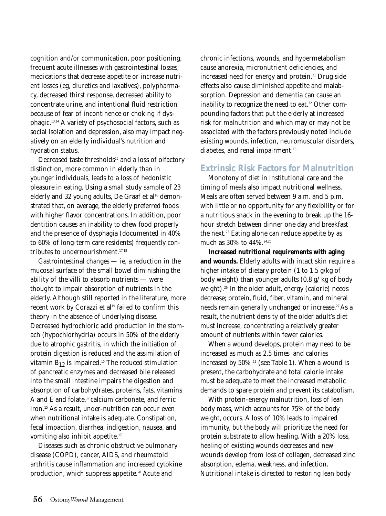cognition and/or communication, poor positioning, frequent acute illnesses with gastrointestinal losses, medications that decrease appetite or increase nutrient losses (eg, diuretics and laxatives), polypharmacy, decreased thirst response, decreased ability to concentrate urine, and intentional fluid restriction because of fear of incontinence or choking if dysphagic.13,14 A variety of psychosocial factors, such as social isolation and depression, also may impact negatively on an elderly individual's nutrition and hydration status.

Decreased taste thresholds<sup>15</sup> and a loss of olfactory distinction, more common in elderly than in younger individuals, leads to a loss of hedonistic pleasure in eating. Using a small study sample of 23 elderly and 32 young adults, De Graaf et al<sup>16</sup> demonstrated that, on average, the elderly preferred foods with higher flavor concentrations. In addition, poor dentition causes an inability to chew food properly and the presence of dysphagia (documented in 40% to 60% of long-term care residents) frequently contributes to undernourishment.<sup>17,18</sup>

Gastrointestinal changes — ie, a reduction in the mucosal surface of the small bowel diminishing the ability of the villi to absorb nutrients — were thought to impair absorption of nutrients in the elderly. Although still reported in the literature, more recent work by Corazzi et al<sup>19</sup> failed to confirm this theory in the absence of underlying disease. Decreased hydrochloric acid production in the stomach (hypochlorhydria) occurs in 50% of the elderly due to atrophic gastritis, in which the initiation of protein digestion is reduced and the assimilation of vitamin  $B_{12}$  is impaired.<sup>15</sup> The reduced stimulation of pancreatic enzymes and decreased bile released into the small intestine impairs the digestion and absorption of carbohydrates, proteins, fats, vitamins A and E and folate, $17$  calcium carbonate, and ferric iron.15 As a result, under-nutrition can occur even when nutritional intake is adequate. Constipation, fecal impaction, diarrhea, indigestion, nausea, and vomiting also inhibit appetite.<sup>17</sup>

Diseases such as chronic obstructive pulmonary disease (COPD), cancer, AIDS, and rheumatoid arthritis cause inflammation and increased cytokine production, which suppress appetite.<sup>20</sup> Acute and

chronic infections, wounds, and hypermetabolism cause anorexia, micronutrient deficiencies, and increased need for energy and protein.<sup>21</sup> Drug side effects also cause diminished appetite and malabsorption. Depression and dementia can cause an inability to recognize the need to eat.<sup>22</sup> Other compounding factors that put the elderly at increased risk for malnutrition and which may or may not be associated with the factors previously noted include existing wounds, infection, neuromuscular disorders, diabetes, and renal impairment.<sup>13</sup>

# **Extrinsic Risk Factors for Malnutrition**

Monotony of diet in institutional care and the timing of meals also impact nutritional wellness. Meals are often served between 9 a.m. and 5 p.m. with little or no opportunity for any flexibility or for a nutritious snack in the evening to break up the 16 hour stretch between dinner one day and breakfast the next.<sup>23</sup> Eating alone can reduce appetite by as much as  $30\%$  to  $44\%$ .<sup>24,25</sup>

**Increased nutritional requirements with aging and wounds.** Elderly adults with intact skin require a higher intake of dietary protein (1 to 1.5 g/kg of body weight) than younger adults (0.8 g/ kg of body weight).<sup>26</sup> In the older adult, energy (calorie) needs decrease; protein, fluid, fiber, vitamin, and mineral needs remain generally unchanged or increase.<sup>27</sup> As a result, the nutrient density of the older adult's diet must increase, concentrating a relatively greater amount of nutrients within fewer calories.

When a wound develops, protein may need to be increased as much as 2.5 times and calories increased by  $50\%$ <sup>11</sup> (see Table 1). When a wound is present, the carbohydrate and total calorie intake must be adequate to meet the increased metabolic demands to spare protein and prevent its catabolism.

With protein-energy malnutrition, loss of lean body mass, which accounts for 75% of the body weight, occurs. A loss of 10% leads to impaired immunity, but the body will prioritize the need for protein substrate to allow healing. With a 20% loss, healing of existing wounds decreases and new wounds develop from loss of collagen, decreased zinc absorption, edema, weakness, and infection. Nutritional intake is directed to restoring lean body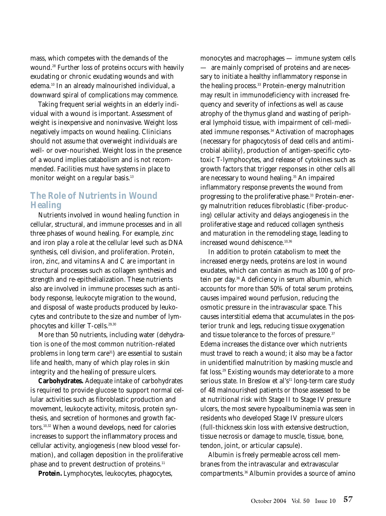mass, which competes with the demands of the wound.28 Further loss of proteins occurs with heavily exudating or chronic exudating wounds and with edema.10 In an already malnourished individual, a downward spiral of complications may commence.

Taking frequent serial weights in an elderly individual with a wound is important. Assessment of weight is inexpensive and noninvasive. Weight loss negatively impacts on wound healing. Clinicians should not assume that overweight individuals are well- or over-nourished. Weight loss in the presence of a wound implies catabolism and is not recommended. Facilities must have systems in place to monitor weight on a regular basis.<sup>13</sup>

# **The Role of Nutrients in Wound Healing**

Nutrients involved in wound healing function in cellular, structural, and immune processes and in all three phases of wound healing. For example, zinc and iron play a role at the cellular level such as DNA synthesis, cell division, and proliferation. Protein, iron, zinc, and vitamins A and C are important in structural processes such as collagen synthesis and strength and re-epithelialization. These nutrients also are involved in immune processes such as antibody response, leukocyte migration to the wound, and disposal of waste products produced by leukocytes and contribute to the size and number of lymphocytes and killer T-cells.<sup>29,30</sup>

More than 50 nutrients, including water (dehydration is one of the most common nutrition-related problems in long term care<sup>31</sup>) are essential to sustain life and health, many of which play roles in skin integrity and the healing of pressure ulcers.

**Carbohydrates.** Adequate intake of carbohydrates is required to provide glucose to support normal cellular activities such as fibroblastic production and movement, leukocyte activity, mitosis, protein synthesis, and secretion of hormones and growth factors.10,32 When a wound develops, need for calories increases to support the inflammatory process and cellular activity, angiogenesis (new blood vessel formation), and collagen deposition in the proliferative phase and to prevent destruction of proteins.<sup>11</sup>

**Protein.** Lymphocytes, leukocytes, phagocytes,

monocytes and macrophages — immune system cells — are mainly comprised of proteins and are necessary to initiate a healthy inflammatory response in the healing process.<sup>33</sup> Protein-energy malnutrition may result in immunodeficiency with increased frequency and severity of infections as well as cause atrophy of the thymus gland and wasting of peripheral lymphoid tissue, with impairment of cell-mediated immune responses.<sup>34</sup> Activation of macrophages (necessary for phagocytosis of dead cells and antimicrobial ability), production of antigen-specific cytotoxic T-lymphocytes, and release of cytokines such as growth factors that trigger responses in other cells all are necessary to wound healing.<sup>35</sup> An impaired inflammatory response prevents the wound from progressing to the proliferative phase.<sup>33</sup> Protein-energy malnutrition reduces fibroblastic (fiber-producing) cellular activity and delays angiogenesis in the proliferative stage and reduced collagen synthesis and maturation in the remodeling stage, leading to increased wound dehiscence.<sup>10,36</sup>

In addition to protein catabolism to meet the increased energy needs, proteins are lost in wound exudates, which can contain as much as 100 g of protein per day.36 A deficiency in serum albumin, which accounts for more than 50% of total serum proteins, causes impaired wound perfusion, reducing the osmotic pressure in the intravascular space. This causes interstitial edema that accumulates in the posterior trunk and legs, reducing tissue oxygenation and tissue tolerance to the forces of pressure.<sup>37</sup> Edema increases the distance over which nutrients must travel to reach a wound; it also may be a factor in unidentified malnutrition by masking muscle and fat loss.29 Existing wounds may deteriorate to a more serious state. In Breslow et al's<sup>11</sup> long-term care study of 48 malnourished patients or those assessed to be at nutritional risk with Stage II to Stage IV pressure ulcers, the most severe hypoalbuminemia was seen in residents who developed Stage IV pressure ulcers (full-thickness skin loss with extensive destruction, tissue necrosis or damage to muscle, tissue, bone, tendon, joint, or articular capsule).

Albumin is freely permeable across cell membranes from the intravascular and extravascular compartments.36 Albumin provides a source of amino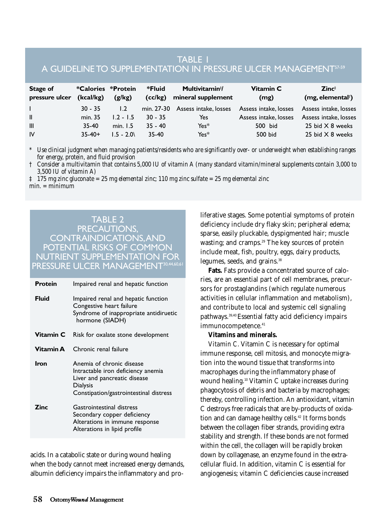# TABLE 1 A GUIDELINE TO SUPPLEMENTATION IN PRESSURE ULCER MANAGEMENT57-59

| Stage of<br>pressure ulcer | *Calories *Protein<br>(kcal/kg) | (g/kg)      | *Fluid<br>(c c/kg) | Multivitamin <sup>#</sup> /<br>mineral supplement | Vitamin C<br>(mg)     | $\mathsf{Zinc}^{\scriptscriptstyle{\ddagger}}$<br>(mg, elemental <sup>†</sup> ) |
|----------------------------|---------------------------------|-------------|--------------------|---------------------------------------------------|-----------------------|---------------------------------------------------------------------------------|
|                            | $30 - 35$                       | 1.2         | min. 27-30         | Assess intake, losses                             | Assess intake, losses | Assess intake, losses                                                           |
| $\mathbf{I}$               | min. 35                         | $1.2 - 1.5$ | $30 - 35$          | Yes                                               | Assess intake, losses | Assess intake, losses                                                           |
| III                        | 35-40                           | min. $1.5$  | $35 - 40$          | $Yes*$                                            | 500 bid               | 25 bid $\times$ 8 weeks                                                         |
| IV                         | $35-40+$                        | $1.5 - 2.0$ | $35-40$            | $Yes*$                                            | 500 bid               | 25 bid $\times$ 8 weeks                                                         |

*\* Use clinical judgment when managing patients/residents who are significantly over- or underweight when establishing ranges for energy, protein, and fluid provision*

*† Consider a multivitamin that contains 5,000 IU of vitamin A (many standard vitamin/mineral supplements contain 3,000 to 3,500 IU of vitamin A)*

*‡ 175 mg zinc gluconate = 25 mg elemental zinc; 110 mg zinc sulfate = 25 mg elemental zinc min. = minimum*

#### TABLE 2 PRECAUTIONS, CONTRAINDICATIONS,AND POTENTIAL RISKS OF COMMON NUTRIENT SUPPLEMENTATION FOR PRESSURE ULCER MANAGEMENT<sup>30,44,60,6</sup>

| <b>Protein</b> | Impaired renal and hepatic function                                                                                                                   |  |  |  |
|----------------|-------------------------------------------------------------------------------------------------------------------------------------------------------|--|--|--|
| <b>Fluid</b>   | Impaired renal and hepatic function<br>Congestive heart failure<br>Syndrome of inappropriate antidiruetic<br>hormone (SIADH)                          |  |  |  |
| Vitamin C      | Risk for oxalate stone development                                                                                                                    |  |  |  |
| Vitamin A      | Chronic renal failure                                                                                                                                 |  |  |  |
| Iron           | Anemia of chronic disease<br>Intractable iron deficiency anemia<br>Liver and pancreatic disease<br>Dialysis<br>Constipation/gastrointestinal distress |  |  |  |
| Zinc           | Gastrointestinal distress<br>Secondary copper deficiency<br>Alterations in immune response<br>Alterations in lipid profile                            |  |  |  |

acids. In a catabolic state or during wound healing when the body cannot meet increased energy demands, albumin deficiency impairs the inflammatory and proliferative stages. Some potential symptoms of protein deficiency include dry flaky skin; peripheral edema; sparse, easily pluckable, dyspigmented hair; muscle wasting; and cramps.<sup>29</sup> The key sources of protein include meat, fish, poultry, eggs, dairy products, legumes, seeds, and grains.<sup>38</sup>

**Fats.** Fats provide a concentrated source of calories, are an essential part of cell membranes, precursors for prostaglandins (which regulate numerous activities in cellular inflammation and metabolism), and contribute to local and systemic cell signaling pathways.39,40 Essential fatty acid deficiency impairs immunocompetence.<sup>41</sup>

#### **Vitamins and minerals.**

*Vitamin C.* Vitamin C is necessary for optimal immune response, cell mitosis, and monocyte migration into the wound tissue that transforms into macrophages during the inflammatory phase of wound healing.10 Vitamin C uptake increases during phagocytosis of debris and bacteria by macrophages; thereby, controlling infection. An antioxidant, vitamin C destroys free radicals that are by-products of oxidation and can damage healthy cells.<sup>42</sup> It forms bonds between the collagen fiber strands, providing extra stability and strength. If these bonds are not formed within the cell, the collagen will be rapidly broken down by collagenase, an enzyme found in the extracellular fluid. In addition, vitamin C is essential for angiogenesis; vitamin C deficiencies cause increased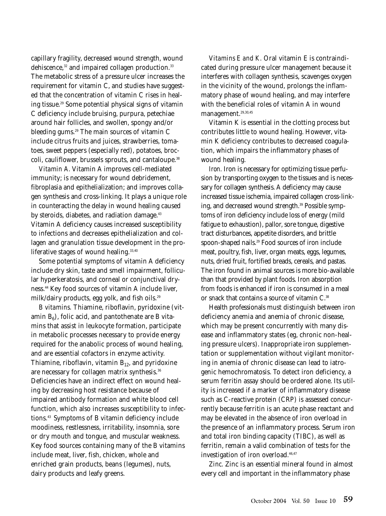capillary fragility, decreased wound strength, wound dehiscence,<sup>32</sup> and impaired collagen production.<sup>33</sup> The metabolic stress of a pressure ulcer increases the requirement for vitamin C, and studies have suggested that the concentration of vitamin C rises in healing tissue.29 Some potential physical signs of vitamin C deficiency include bruising, purpura, petechiae around hair follicles, and swollen, spongy and/or bleeding gums.<sup>29</sup> The main sources of vitamin C include citrus fruits and juices, strawberries, tomatoes, sweet peppers (especially red), potatoes, broccoli, cauliflower, brussels sprouts, and cantaloupe.<sup>38</sup>

*Vitamin A.* Vitamin A improves cell-mediated immunity; is necessary for wound debridement, fibroplasia and epithelialization; and improves collagen synthesis and cross-linking. It plays a unique role in counteracting the delay in wound healing caused by steroids, diabetes, and radiation damage.<sup>43</sup> Vitamin A deficiency causes increased susceptibility to infections and decreases epithelialization and collagen and granulation tissue development in the proliferative stages of wound healing. $33,40$ 

Some potential symptoms of vitamin A deficiency include dry skin, taste and smell impairment, follicular hyperkeratosis, and corneal or conjunctival dryness.44 Key food sources of vitamin A include liver, milk/dairy products, egg yolk, and fish oils.<sup>29</sup>

*B vitamins.* Thiamine, riboflavin, pyridoxine (vitamin  $B_6$ ), folic acid, and pantothenate are B vitamins that assist in leukocyte formation, participate in metabolic processes necessary to provide energy required for the anabolic process of wound healing, and are essential cofactors in enzyme activity. Thiamine, riboflavin, vitamin  $B_{12}$ , and pyridoxine are necessary for collagen matrix synthesis.<sup>36</sup> Deficiencies have an indirect effect on wound healing by decreasing host resistance because of impaired antibody formation and white blood cell function, which also increases susceptibility to infections.43 Symptoms of B vitamin deficiency include moodiness, restlessness, irritability, insomnia, sore or dry mouth and tongue, and muscular weakness. Key food sources containing many of the B vitamins include meat, liver, fish, chicken, whole and enriched grain products, beans (legumes), nuts, dairy products and leafy greens.

*Vitamins E and K.* Oral vitamin E is contraindicated during pressure ulcer management because it interferes with collagen synthesis, scavenges oxygen in the vicinity of the wound, prolongs the inflammatory phase of wound healing, and may interfere with the beneficial roles of vitamin A in wound management.<sup>29,30,45</sup>

Vitamin K is essential in the clotting process but contributes little to wound healing. However, vitamin K deficiency contributes to decreased coagulation, which impairs the inflammatory phases of wound healing.

*Iron.* Iron is necessary for optimizing tissue perfusion by transporting oxygen to the tissues and is necessary for collagen synthesis. A deficiency may cause increased tissue ischemia, impaired collagen cross-linking, and decreased wound strength.<sup>39</sup> Possible symptoms of iron deficiency include loss of energy (mild fatigue to exhaustion), pallor, sore tongue, digestive tract disturbances, appetite disorders, and brittle spoon-shaped nails.<sup>29</sup> Food sources of iron include meat, poultry, fish, liver, organ meats, eggs, legumes, nuts, dried fruit, fortified breads, cereals, and pastas. The iron found in animal sources is more bio-available than that provided by plant foods. Iron absorption from foods is enhanced if iron is consumed in a meal or snack that contains a source of vitamin C.<sup>38</sup>

Health professionals must distinguish between iron deficiency anemia and anemia of chronic disease, which may be present concurrently with many disease and inflammatory states (eg, chronic non-healing pressure ulcers). Inappropriate iron supplementation or supplementation without vigilant monitoring in anemia of chronic disease can lead to iatrogenic hemochromatosis. To detect iron deficiency, a serum ferritin assay should be ordered alone. Its utility is increased if a marker of inflammatory disease such as C-reactive protein (CRP) is assessed concurrently because ferritin is an acute phase reactant and may be elevated in the absence of iron overload in the presence of an inflammatory process. Serum iron and total iron binding capacity (TIBC), as well as ferritin, remain a valid combination of tests for the investigation of iron overload.<sup>46,47</sup>

*Zinc.* Zinc is an essential mineral found in almost every cell and important in the inflammatory phase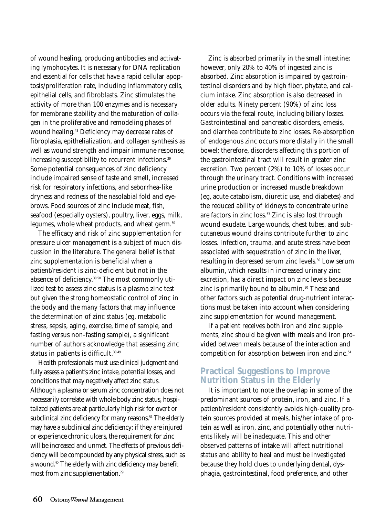of wound healing, producing antibodies and activating lymphocytes. It is necessary for DNA replication and essential for cells that have a rapid cellular apoptosis/proliferation rate, including inflammatory cells, epithelial cells, and fibroblasts. Zinc stimulates the activity of more than 100 enzymes and is necessary for membrane stability and the maturation of collagen in the proliferative and remodeling phases of wound healing.<sup>48</sup> Deficiency may decrease rates of fibroplasia, epithelialization, and collagen synthesis as well as wound strength and impair immune response, increasing susceptibility to recurrent infections.<sup>39</sup> Some potential consequences of zinc deficiency include impaired sense of taste and smell, increased risk for respiratory infections, and seborrhea-like dryness and redness of the nasolabial fold and eyebrows. Food sources of zinc include meat, fish, seafood (especially oysters), poultry, liver, eggs, milk, legumes, whole wheat products, and wheat germ.<sup>50</sup>

The efficacy and risk of zinc supplementation for pressure ulcer management is a subject of much discussion in the literature. The general belief is that zinc supplementation is beneficial when a patient/resident is zinc-deficient but not in the absence of deficiency.30,50 The most commonly utilized test to assess zinc status is a plasma zinc test but given the strong homeostatic control of zinc in the body and the many factors that may influence the determination of zinc status (eg, metabolic stress, sepsis, aging, exercise, time of sample, and fasting versus non-fasting sample), a significant number of authors acknowledge that assessing zinc status in patients is difficult.<sup>30,49</sup>

Health professionals must use clinical judgment and fully assess a patient's zinc intake, potential losses, and conditions that may negatively affect zinc status. Although a plasma or serum zinc concentration does not necessarily correlate with whole body zinc status, hospitalized patients are at particularly high risk for overt or subclinical zinc deficiency for many reasons.<sup>51</sup> The elderly may have a subclinical zinc deficiency; if they are injured or experience chronic ulcers, the requirement for zinc will be increased and unmet. The effects of previous deficiency will be compounded by any physical stress, such as a wound.<sup>52</sup> The elderly with zinc deficiency may benefit most from zinc supplementation.<sup>29</sup>

Zinc is absorbed primarily in the small intestine; however, only 20% to 40% of ingested zinc is absorbed. Zinc absorption is impaired by gastrointestinal disorders and by high fiber, phytate, and calcium intake. Zinc absorption is also decreased in older adults. Ninety percent (90%) of zinc loss occurs via the fecal route, including biliary losses. Gastrointestinal and pancreatic disorders, emesis, and diarrhea contribute to zinc losses. Re-absorption of endogenous zinc occurs more distally in the small bowel; therefore, disorders affecting this portion of the gastrointestinal tract will result in greater zinc excretion. Two percent (2%) to 10% of losses occur through the urinary tract. Conditions with increased urine production or increased muscle breakdown (eg, acute catabolism, diuretic use, and diabetes) and the reduced ability of kidneys to concentrate urine are factors in zinc loss.<sup>53</sup> Zinc is also lost through wound exudate. Large wounds, chest tubes, and subcutaneous wound drains contribute further to zinc losses. Infection, trauma, and acute stress have been associated with sequestration of zinc in the liver, resulting in depressed serum zinc levels.<sup>30</sup> Low serum albumin, which results in increased urinary zinc excretion, has a direct impact on zinc levels because zinc is primarily bound to albumin.<sup>30</sup> These and other factors such as potential drug-nutrient interactions must be taken into account when considering zinc supplementation for wound management.

If a patient receives both iron and zinc supplements, zinc should be given with meals and iron provided between meals because of the interaction and competition for absorption between iron and zinc.<sup>54</sup>

# **Practical Suggestions to Improve Nutrition Status in the Elderly**

It is important to note the overlap in some of the predominant sources of protein, iron, and zinc. If a patient/resident consistently avoids high-quality protein sources provided at meals, his/her intake of protein as well as iron, zinc, and potentially other nutrients likely will be inadequate. This and other observed patterns of intake will affect nutritional status and ability to heal and must be investigated because they hold clues to underlying dental, dysphagia, gastrointestinal, food preference, and other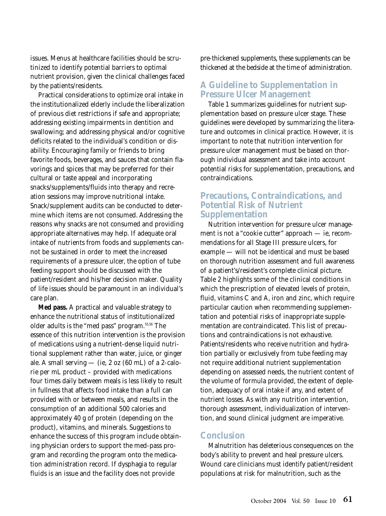issues. Menus at healthcare facilities should be scrutinized to identify potential barriers to optimal nutrient provision, given the clinical challenges faced by the patients/residents.

Practical considerations to optimize oral intake in the institutionalized elderly include the liberalization of previous diet restrictions if safe and appropriate; addressing existing impairments in dentition and swallowing; and addressing physical and/or cognitive deficits related to the individual's condition or disability. Encouraging family or friends to bring favorite foods, beverages, and sauces that contain flavorings and spices that may be preferred for their cultural or taste appeal and incorporating snacks/supplements/fluids into therapy and recreation sessions may improve nutritional intake. Snack/supplement audits can be conducted to determine which items are not consumed. Addressing the reasons why snacks are not consumed and providing appropriate alternatives may help. If adequate oral intake of nutrients from foods and supplements cannot be sustained in order to meet the increased requirements of a pressure ulcer, the option of tube feeding support should be discussed with the patient/resident and his/her decision maker. Quality of life issues should be paramount in an individual's care plan.

**Med pass.** A practical and valuable strategy to enhance the nutritional status of institutionalized older adults is the "med pass" program.55,56 The essence of this nutrition intervention is the provision of medications using a nutrient-dense liquid nutritional supplement rather than water, juice, or ginger ale. A small serving  $-$  (ie, 2 oz (60 mL) of a 2-calorie per mL product – provided with medications four times daily between meals is less likely to result in fullness that affects food intake than a full can provided with or between meals, and results in the consumption of an additional 500 calories and approximately 40 g of protein (depending on the product), vitamins, and minerals. Suggestions to enhance the success of this program include obtaining physician orders to support the med-pass program and recording the program onto the medication administration record. If dysphagia to regular fluids is an issue and the facility does not provide

pre-thickened supplements, these supplements can be thickened at the bedside at the time of administration.

## **A Guideline to Supplementation in Pressure Ulcer Management**

Table 1 summarizes guidelines for nutrient supplementation based on pressure ulcer stage. These guidelines were developed by summarizing the literature and outcomes in clinical practice. However, it is important to note that nutrition intervention for pressure ulcer management must be based on thorough individual assessment and take into account potential risks for supplementation, precautions, and contraindications.

#### **Precautions, Contraindications, and Potential Risk of Nutrient Supplementation**

Nutrition intervention for pressure ulcer management is not a "cookie cutter" approach — ie, recommendations for all Stage III pressure ulcers, for example — will not be identical and must be based on thorough nutrition assessment and full awareness of a patient's/resident's complete clinical picture. Table 2 highlights some of the clinical conditions in which the prescription of elevated levels of protein, fluid, vitamins C and A, iron and zinc, which require particular caution when recommending supplementation and potential risks of inappropriate supplementation are contraindicated. This list of precautions and contraindications is not exhaustive. Patients/residents who receive nutrition and hydration partially or exclusively from tube feeding may not require additional nutrient supplementation depending on assessed needs, the nutrient content of the volume of formula provided, the extent of depletion, adequacy of oral intake if any, and extent of nutrient losses. As with any nutrition intervention, thorough assessment, individualization of intervention, and sound clinical judgment are imperative.

#### **Conclusion**

Malnutrition has deleterious consequences on the body's ability to prevent and heal pressure ulcers. Wound care clinicians must identify patient/resident populations at risk for malnutrition, such as the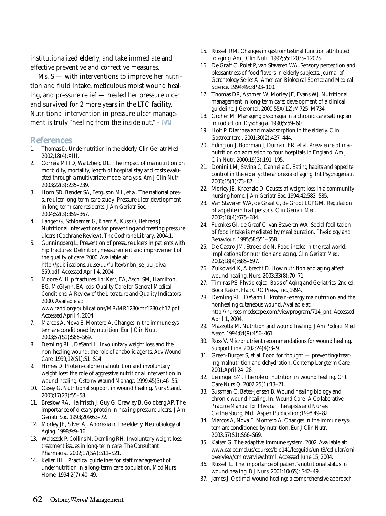institutionalized elderly, and take immediate and effective preventive and corrective measures.

Ms.  $S$  — with interventions to improve her nutrition and fluid intake, meticulous moist wound healing, and pressure relief — healed her pressure ulcer and survived for 2 more years in the LTC facility. Nutritional intervention in pressure ulcer management is truly "healing from the inside out." - **OWM**

#### **References**

- 1. Thomas D. Undernutrition in the elderly. *Clin Geriatr Med*. 2002;18(4):XIII.
- 2. Correia MITD, Waitzberg DL. The impact of malnutrition on morbidity, mortality, length of hospital stay and costs evaluated through a multivariate model analysis. *Am J Clin Nutr.* 2003;22(3):235–239.
- 3. Horn SD, Bender SA, Ferguson ML, et al. The national pressure ulcer long-term care study: Pressure ulcer development in long-term care residents. *J Am Geriatr Soc*. 2004;52(3):359–367.
- 4. Langer G, Schloemer G, Knerr A, Kuss O, Behrens J. Nutritional interventions for preventing and treating pressure ulcers (Cochrane Review). *The Cochrane Library*. 2004;1.
- 5. Gunningberg L. Prevention of pressure ulcers in patients with hip fractures: Definition, measurement and improvement of the quality of care. 2000. Available at: http://publications.uu.se/uu/fulltext/nbn\_se\_uu\_diva-559.pdf. Accessed April 4, 2004.
- 6. Moore A. Hip fractures. In: Kerr, EA, Asch, SM, Hamilton, EG, McGlynn, EA, eds. *Quality Care for General Medical Conditions: A Review of the Literature and Quality Indicators*. 2000. Available at: www.rand.org/publications/MR/MR1280/mr1280.ch12.pdf.

Accessed April 4, 2004.

- 7. Marcos A, Nova E, Montero A. Changes in the immune system are conditioned by nutrition. *Eur J Clin Nutr*. 2003;57(S1):S66–S69.
- 8. Demling RH, DeSanti L. Involuntary weight loss and the non-healing wound: the role of anabolic agents. *Adv Wound Care*. 1999;12(S1):S1–S14.
- 9. Himes D. Protein-calorie malnutrition and involuntary weight loss: the role of aggressive nutritional intervention in wound healing. *Ostomy Wound Manage*. 1999;45(3):46–55.
- 10. Casey G. Nutritional support in wound healing. *Nurs Stand*. 2003;17(23):55–58.
- 11. Breslow RA, Hallfrisch J, Guy G, Crawley B, Goldberg AP. The importance of dietary protein in healing pressure ulcers. *J Am Geriatr Soc*. 1993;209:63–72.
- 12. Morley JE, Silver AJ. Anorexia in the elderly. *Neurobiology of Aging*. 1998;9:9–16.
- 13. Walaszek P, Collins N, Demling RH. Involuntary weight loss: treatment issues in long-term care. *The Consultant Pharmacist*. 2002;17(SA):S11–S21.
- 14. Keller HH. Practical guidelines for staff management of undernutrition in a long-term care population. *Mod Nurs Home*. 1994;2(7):40–49.
- 15. Russell RM. Changes in gastrointestinal function attributed to aging. *Am J Clin Nutr*. 1992;55:1203S–1207S.
- 16. De Graff C, Polet P, van Staveren WA. Sensory perception and pleasantness of food flavors in elderly subjects. *Journal of Gerontology Series A: American Biological Science and Medical Science*. 1994;49:3:P93–100.
- 17. Thomas DR, Ashmen W, Morley JE, Evans WJ. Nutritional management in long-term care: development of a clinical guideline. *J Gerontol*. 2000;55A(12):M725–M734.
- 18. Groher M. Managing dysphagia in a chronic care setting: an introduction. *Dysphagia*. 1990;5:59–60.
- 19. Holt P. Diarrhea and malabsorption in the elderly. *Clin Gastroenterol*. 2001;30(2):427–444.
- 20 Edington J, Boorman J, Durrant ER, et al. Prevalence of malnutrition on admission to four hospitals in England. *Am J Clin Nutr*. 2000;19(3):191–195.
- 21. Donini LM, Savina C, Cannella C. Eating habits and appetite control in the elderly: the anorexia of aging. *Int Psychogeriatr*. 2003;15(1):73–87.
- 22. Morley JE, Kraenzle D. Causes of weight loss in a community nursing home. *J Am Geriatr Soc*. 1994;42:583–585.
- 23. Van Staveren WA, de Graaf C, de Groot LCPGM. Regulation of appetite in frail persons. *Clin Geriatr Med*. 2002;18(4):675–684.
- 24. Fuenkes GI, de Graaf C, van Staveren WA. Social facilitation of food intake is mediated by meal duration. *Physiology and Behaviour*. 1995;58:551–558.
- 25. De Castro JM, Stroeblele N. Food intake in the real world: implications for nutrition and aging. *Clin Geriatr Med*. 2002;18(4):685–697.
- 26. Zulkowski K, Albrecht D. How nutrition and aging affect wound healing. *Nurs*. 2003;33(8):70–71.
- 27. Timiras PS. *Physiological Basis of Aging and Geriatrics, 2nd ed*. Boca Raton, Fla.: CRC Press, Inc.;1994.
- 28. Demling RH, DeSanti L. Protein-energy malnutrition and the nonhealing cutaneous wound. Available at: http://nurses.medscape.com/viewprogram/714\_pnt. Accessed April 1, 2004.
- 29. Mazzotta M. Nutrition and wound healing. *J Am Podiatr Med Assoc*. 1994;84(9):456–461.
- 30. Ross V. Micronutrient recommendations for wound healing. *Support Line.* 2002;24(4):3–9.
- 31. Green-Burger S, et al. Food for thought preventing/treating malnutrition and dehydration. *Contemp Longterm Care*. 2001;April:24–28.
- 32. Leninger SM. The role of nutrition in wound healing. *Crit Care Nurs Q*. 2002;25(1):13–21.
- 33. Sussman C, Bates-Jensen B. Wound healing biology and chronic wound healing. In: *Wound Care- A Collaborative Practice Manual for Physical Therapists and Nurses*. Gaithersburg, Md.: Aspen Publication;1998:49–82.
- 34. Marcos A, Nova E, Montero A. Changes in the immune system are conditioned by nutrition. *Eur J Clin Nutr.* 2003;57(S1):S66–S69.
- 35. Kaiser G. The adaptive immune system. 2002. Available at: www.cat.cc.md.us/courses/bio141/lecguide/unit3/cellular/cmi overview/cmioverview.html. Accessed June 15, 2004.
- 36. Russell L. The importance of patient's nutritional status in wound healing. *B J Nurs*. 2001:10(6S): S42–49.
- 37. James J. Optimal wound healing: a comprehensive approach